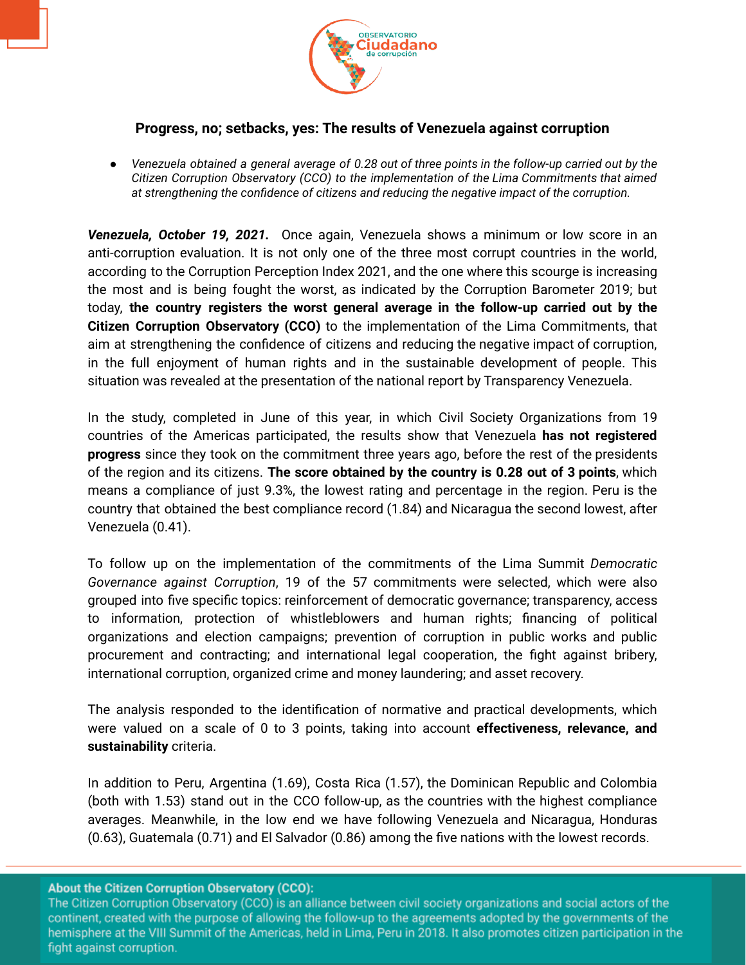

## **Progress, no; setbacks, yes: The results of Venezuela against corruption**

• Venezuela obtained a general average of 0.28 out of three points in the follow-up carried out by the *Citizen Corruption Observatory (CCO) to the implementation of the Lima Commitments that aimed at strengthening the confidence of citizens and reducing the negative impact of the corruption.*

*Venezuela, October 19, 2021.* Once again, Venezuela shows a minimum or low score in an anti-corruption evaluation. It is not only one of the three most corrupt countries in the world, according to the Corruption Perception Index 2021, and the one where this scourge is increasing the most and is being fought the worst, as indicated by the Corruption Barometer 2019; but today, **the country registers the worst general average in the follow-up carried out by the Citizen Corruption Observatory (CCO)** to the implementation of the Lima Commitments, that aim at strengthening the confidence of citizens and reducing the negative impact of corruption, in the full enjoyment of human rights and in the sustainable development of people. This situation was revealed at the presentation of the national report by Transparency Venezuela.

In the study, completed in June of this year, in which Civil Society Organizations from 19 countries of the Americas participated, the results show that Venezuela **has not registered progress** since they took on the commitment three years ago, before the rest of the presidents of the region and its citizens. **The score obtained by the country is 0.28 out of 3 points**, which means a compliance of just 9.3%, the lowest rating and percentage in the region. Peru is the country that obtained the best compliance record (1.84) and Nicaragua the second lowest, after Venezuela (0.41).

To follow up on the implementation of the commitments of the Lima Summit *Democratic Governance against Corruption*, 19 of the 57 commitments were selected, which were also grouped into five specific topics: reinforcement of democratic governance; transparency, access to information, protection of whistleblowers and human rights; financing of political organizations and election campaigns; prevention of corruption in public works and public procurement and contracting; and international legal cooperation, the fight against bribery, international corruption, organized crime and money laundering; and asset recovery.

The analysis responded to the identification of normative and practical developments, which were valued on a scale of 0 to 3 points, taking into account **effectiveness, relevance, and sustainability** criteria.

In addition to Peru, Argentina (1.69), Costa Rica (1.57), the Dominican Republic and Colombia (both with 1.53) stand out in the CCO follow-up, as the countries with the highest compliance averages. Meanwhile, in the low end we have following Venezuela and Nicaragua, Honduras (0.63), Guatemala (0.71) and El Salvador (0.86) among the five nations with the lowest records.

About the Citizen Corruption Observatory (CCO):

The Citizen Corruption Observatory (CCO) is an alliance between civil society organizations and social actors of the continent, created with the purpose of allowing the follow-up to the agreements adopted by the governments of the hemisphere at the VIII Summit of the Americas, held in Lima, Peru in 2018. It also promotes citizen participation in the fight against corruption.